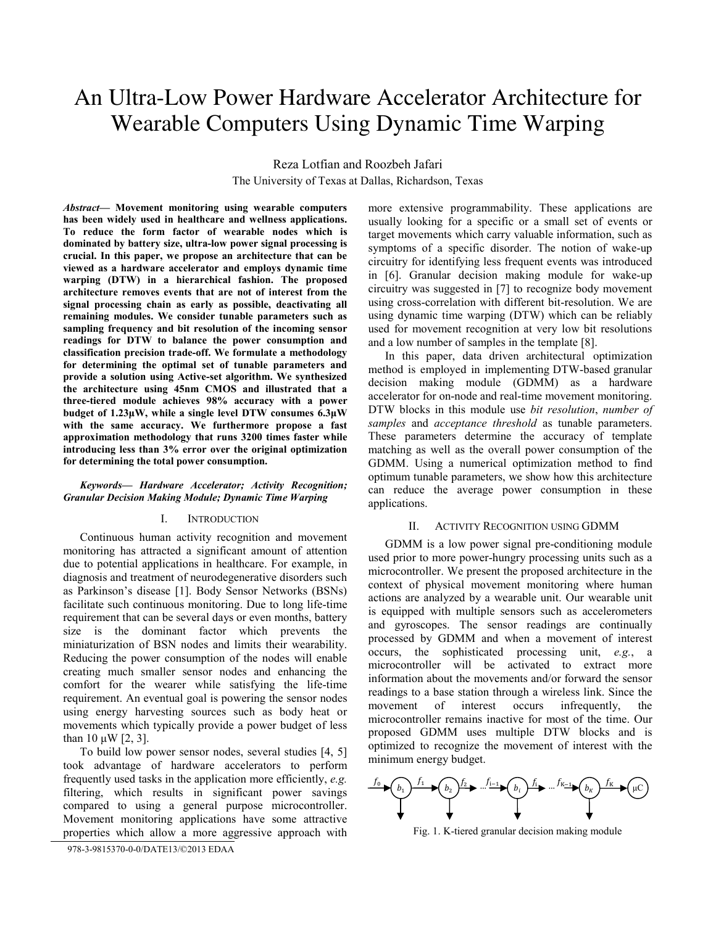# An Ultra-Low Power Hardware Accelerator Architecture for Wearable Computers Using Dynamic Time Warping

Reza Lotfian and Roozbeh Jafari The University of Texas at Dallas, Richardson, Texas

*Abstract***— Movement monitoring using wearable computers has been widely used in healthcare and wellness applications. To reduce the form factor of wearable nodes which is dominated by battery size, ultra-low power signal processing is crucial. In this paper, we propose an architecture that can be viewed as a hardware accelerator and employs dynamic time warping (DTW) in a hierarchical fashion. The proposed architecture removes events that are not of interest from the signal processing chain as early as possible, deactivating all remaining modules. We consider tunable parameters such as sampling frequency and bit resolution of the incoming sensor readings for DTW to balance the power consumption and classification precision trade-off. We formulate a methodology for determining the optimal set of tunable parameters and provide a solution using Active-set algorithm. We synthesized the architecture using 45nm CMOS and illustrated that a three-tiered module achieves 98% accuracy with a power budget of 1.23μW, while a single level DTW consumes 6.3μW with the same accuracy. We furthermore propose a fast approximation methodology that runs 3200 times faster while introducing less than 3% error over the original optimization for determining the total power consumption.** 

## *Keywords— Hardware Accelerator; Activity Recognition; Granular Decision Making Module; Dynamic Time Warping*

## I. INTRODUCTION

Continuous human activity recognition and movement monitoring has attracted a significant amount of attention due to potential applications in healthcare. For example, in diagnosis and treatment of neurodegenerative disorders such as Parkinson's disease [1]. Body Sensor Networks (BSNs) facilitate such continuous monitoring. Due to long life-time requirement that can be several days or even months, battery size is the dominant factor which prevents the miniaturization of BSN nodes and limits their wearability. Reducing the power consumption of the nodes will enable creating much smaller sensor nodes and enhancing the comfort for the wearer while satisfying the life-time requirement. An eventual goal is powering the sensor nodes using energy harvesting sources such as body heat or movements which typically provide a power budget of less than 10  $\mu$ W [2, 3].

To build low power sensor nodes, several studies [4, 5] took advantage of hardware accelerators to perform frequently used tasks in the application more efficiently, *e.g.* filtering, which results in significant power savings compared to using a general purpose microcontroller. Movement monitoring applications have some attractive properties which allow a more aggressive approach with more extensive programmability. These applications are usually looking for a specific or a small set of events or target movements which carry valuable information, such as symptoms of a specific disorder. The notion of wake-up circuitry for identifying less frequent events was introduced in [6]. Granular decision making module for wake-up circuitry was suggested in [7] to recognize body movement using cross-correlation with different bit-resolution. We are using dynamic time warping (DTW) which can be reliably used for movement recognition at very low bit resolutions and a low number of samples in the template [8].

In this paper, data driven architectural optimization method is employed in implementing DTW-based granular decision making module (GDMM) as a hardware accelerator for on-node and real-time movement monitoring. DTW blocks in this module use *bit resolution*, *number of samples* and *acceptance threshold* as tunable parameters. These parameters determine the accuracy of template matching as well as the overall power consumption of the GDMM. Using a numerical optimization method to find optimum tunable parameters, we show how this architecture can reduce the average power consumption in these applications.

## II. ACTIVITY RECOGNITION USING GDMM

GDMM is a low power signal pre-conditioning module used prior to more power-hungry processing units such as a microcontroller. We present the proposed architecture in the context of physical movement monitoring where human actions are analyzed by a wearable unit. Our wearable unit is equipped with multiple sensors such as accelerometers and gyroscopes. The sensor readings are continually processed by GDMM and when a movement of interest occurs, the sophisticated processing unit, *e.g.*, a microcontroller will be activated to extract more information about the movements and/or forward the sensor readings to a base station through a wireless link. Since the movement of interest occurs infrequently, microcontroller remains inactive for most of the time. Our proposed GDMM uses multiple DTW blocks and is optimized to recognize the movement of interest with the minimum energy budget.



Fig. 1. K-tiered granular decision making module

<sup>978-3-9815370-0-0/</sup>DATE13/©2013 EDAA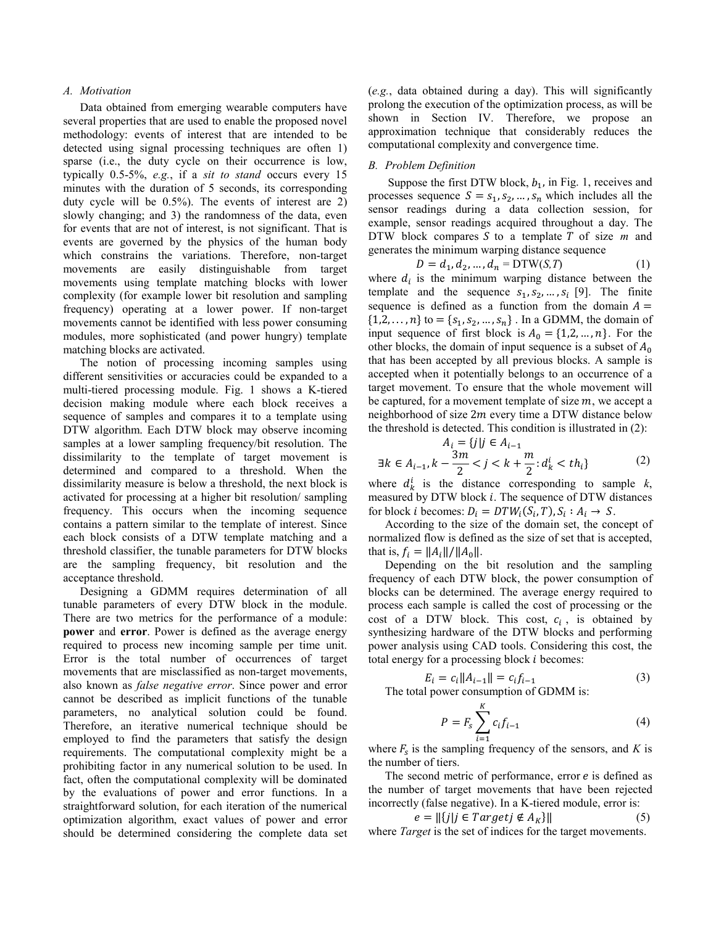## *A. Motivation*

Data obtained from emerging wearable computers have several properties that are used to enable the proposed novel methodology: events of interest that are intended to be detected using signal processing techniques are often 1) sparse (i.e., the duty cycle on their occurrence is low, typically 0.5-5%, *e.g.*, if a *sit to stand* occurs every 15 minutes with the duration of 5 seconds, its corresponding duty cycle will be 0.5%). The events of interest are 2) slowly changing; and 3) the randomness of the data, even for events that are not of interest, is not significant. That is events are governed by the physics of the human body which constrains the variations. Therefore, non-target movements are easily distinguishable from target movements using template matching blocks with lower complexity (for example lower bit resolution and sampling frequency) operating at a lower power. If non-target movements cannot be identified with less power consuming modules, more sophisticated (and power hungry) template matching blocks are activated.

The notion of processing incoming samples using different sensitivities or accuracies could be expanded to a multi-tiered processing module. Fig. 1 shows a K-tiered decision making module where each block receives a sequence of samples and compares it to a template using DTW algorithm. Each DTW block may observe incoming samples at a lower sampling frequency/bit resolution. The dissimilarity to the template of target movement is determined and compared to a threshold. When the dissimilarity measure is below a threshold, the next block is activated for processing at a higher bit resolution/ sampling frequency. This occurs when the incoming sequence contains a pattern similar to the template of interest. Since each block consists of a DTW template matching and a threshold classifier, the tunable parameters for DTW blocks are the sampling frequency, bit resolution and the acceptance threshold.

Designing a GDMM requires determination of all tunable parameters of every DTW block in the module. There are two metrics for the performance of a module: **power** and **error**. Power is defined as the average energy required to process new incoming sample per time unit. Error is the total number of occurrences of target movements that are misclassified as non-target movements, also known as *false negative error*. Since power and error cannot be described as implicit functions of the tunable parameters, no analytical solution could be found. Therefore, an iterative numerical technique should be employed to find the parameters that satisfy the design requirements. The computational complexity might be a prohibiting factor in any numerical solution to be used. In fact, often the computational complexity will be dominated by the evaluations of power and error functions. In a straightforward solution, for each iteration of the numerical optimization algorithm, exact values of power and error should be determined considering the complete data set (*e.g.*, data obtained during a day). This will significantly prolong the execution of the optimization process, as will be shown in Section IV. Therefore, we propose an approximation technique that considerably reduces the computational complexity and convergence time.

## *B. Problem Definition*

Suppose the first DTW block,  $b_1$ , in Fig. 1, receives and processes sequence  $S = s_1, s_2, ..., s_n$  which includes all the sensor readings during a data collection session, for example, sensor readings acquired throughout a day. The DTW block compares  $S$  to a template  $T$  of size  $m$  and generates the minimum warping distance sequence

$$
D = d_1, d_2, ..., d_n = \text{DTW}(S, T)
$$
 (1)

where  $d_i$  is the minimum warping distance between the template and the sequence  $s_1, s_2, ..., s_i$  [9]. The finite sequence is defined as a function from the domain  $A =$  $\{1,2,\ldots,n\}$  to =  $\{s_1, s_2, \ldots, s_n\}$ . In a GDMM, the domain of input sequence of first block is  $A_0 = \{1, 2, ..., n\}$ . For the other blocks, the domain of input sequence is a subset of  $A_0$ that has been accepted by all previous blocks. A sample is accepted when it potentially belongs to an occurrence of a target movement. To ensure that the whole movement will be captured, for a movement template of size  $m$ , we accept a neighborhood of size  $2m$  every time a DTW distance below the threshold is detected. This condition is illustrated in (2):

$$
A_i = \{j | j \in A_{i-1} \n\exists k \in A_{i-1}, k - \frac{3m}{2} < j < k + \frac{m}{2} : d_k^i < th_i\} \tag{2}
$$

where  $d_k^i$  is the distance corresponding to sample  $k$ , measured by DTW block  $i$ . The sequence of DTW distances for block *i* becomes:  $D_i = DTW_i(S_i, T), S_i : A_i \rightarrow S$ .

According to the size of the domain set, the concept of normalized flow is defined as the size of set that is accepted, that is,  $f_i = ||A_i|| / ||A_0||$ .

Depending on the bit resolution and the sampling frequency of each DTW block, the power consumption of blocks can be determined. The average energy required to process each sample is called the cost of processing or the cost of a DTW block. This cost,  $c_i$ , is obtained by synthesizing hardware of the DTW blocks and performing power analysis using CAD tools. Considering this cost, the total energy for a processing block *i* becomes:

$$
E_i = c_i ||A_{i-1}|| = c_i f_{i-1}
$$
 (3)  
The total power consumption of GDMM is:

$$
P = F_s \sum_{i=1}^{K} c_i f_{i-1} \tag{4}
$$

 $\sum_{i=1}$ where  $F_s$  is the sampling frequency of the sensors, and *K* is the number of tiers.

The second metric of performance, error  $e$  is defined as the number of target movements that have been rejected incorrectly (false negative). In a K-tiered module, error is:

$$
e = ||\{j | j \in Targetj \notin A_K\}||
$$
 (5)  
where *Target* is the set of indices for the target movements.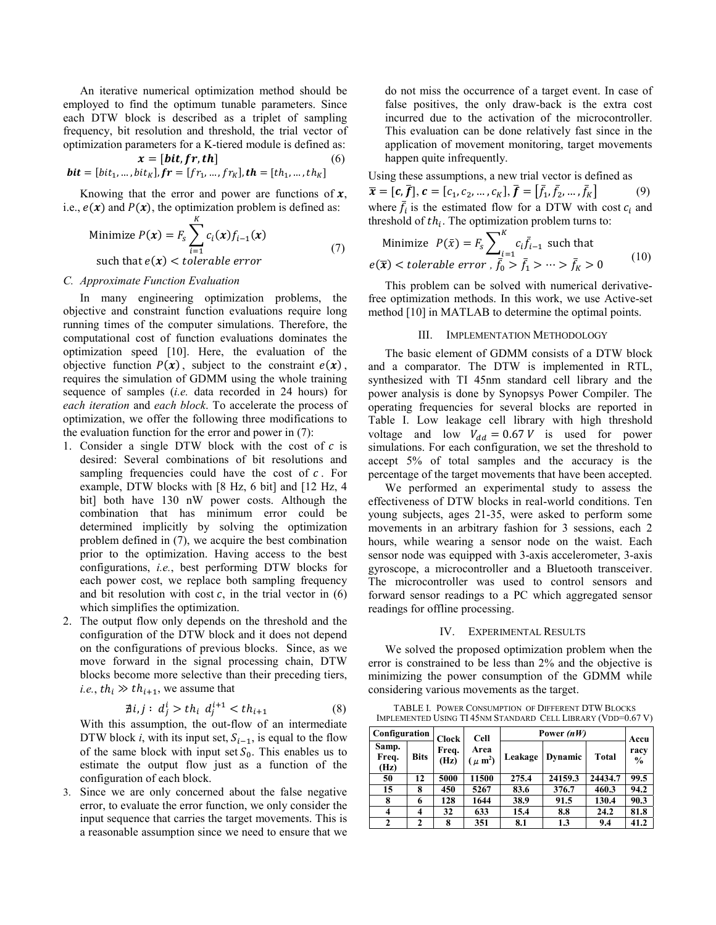An iterative numerical optimization method should be employed to find the optimum tunable parameters. Since each DTW block is described as a triplet of sampling frequency, bit resolution and threshold, the trial vector of optimization parameters for a K-tiered module is defined as:

$$
\boldsymbol{x} = [\boldsymbol{bit}, \boldsymbol{fr}, \boldsymbol{th}] \tag{6}
$$
  

$$
\boldsymbol{bit} = [\boldsymbol{bit}_1, \dots, \boldsymbol{bit}_K], \boldsymbol{fr} = [\boldsymbol{fr}_1, \dots, \boldsymbol{fr}_K], \boldsymbol{th} = [\boldsymbol{th}_1, \dots, \boldsymbol{th}_K]
$$

Knowing that the error and power are functions of  $x$ , i.e.,  $e(x)$  and  $P(x)$ , the optimization problem is defined as:

Minimize 
$$
P(\mathbf{x}) = F_s \sum_{i=1}^{K} c_i(\mathbf{x}) f_{i-1}(\mathbf{x})
$$
  
such that  $e(\mathbf{x}) <$  tolerable error (7)

# *C. Approximate Function Evaluation*

In many engineering optimization problems, the objective and constraint function evaluations require long running times of the computer simulations. Therefore, the computational cost of function evaluations dominates the optimization speed [10]. Here, the evaluation of the objective function  $P(x)$ , subject to the constraint  $e(x)$ , requires the simulation of GDMM using the whole training sequence of samples (*i.e.* data recorded in 24 hours) for *each iteration* and *each block*. To accelerate the process of optimization, we offer the following three modifications to the evaluation function for the error and power in (7):

- 1. Consider a single DTW block with the cost of  $c$  is desired: Several combinations of bit resolutions and sampling frequencies could have the cost of  $c$ . For example, DTW blocks with [8 Hz, 6 bit] and [12 Hz, 4 bit] both have 130 nW power costs. Although the combination that has minimum error could be determined implicitly by solving the optimization problem defined in (7), we acquire the best combination prior to the optimization. Having access to the best configurations, *i.e.*, best performing DTW blocks for each power cost, we replace both sampling frequency and bit resolution with cost  $c$ , in the trial vector in  $(6)$ which simplifies the optimization.
- 2. The output flow only depends on the threshold and the configuration of the DTW block and it does not depend on the configurations of previous blocks. Since, as we move forward in the signal processing chain, DTW blocks become more selective than their preceding tiers, *i.e.*,  $th_i \gg th_{i+1}$ , we assume that

$$
\nexists i, j: d^i_j > th_i \ d^{i+1}_j < th_{i+1}
$$
 (8)

With this assumption, the out-flow of an intermediate DTW block *i*, with its input set,  $S_{i-1}$ , is equal to the flow of the same block with input set  $S_0$ . This enables us to estimate the output flow just as a function of the configuration of each block.

3. Since we are only concerned about the false negative error, to evaluate the error function, we only consider the input sequence that carries the target movements. This is a reasonable assumption since we need to ensure that we do not miss the occurrence of a target event. In case of false positives, the only draw-back is the extra cost incurred due to the activation of the microcontroller. This evaluation can be done relatively fast since in the application of movement monitoring, target movements happen quite infrequently.

Using these assumptions, a new trial vector is defined as  $\bar{\mathbf{x}} = [\mathbf{c}, \bar{\mathbf{f}}], \, \mathbf{c} = [c_1, c_2, ..., c_K], \bar{\mathbf{f}} = [\bar{f}_1, \bar{f}_2, ..., \bar{f}_K]$  $(9)$ where  $\bar{f}_i$  is the estimated flow for a DTW with cost  $c_i$  and threshold of  $th_i$ . The optimization problem turns to:  $\rightarrow$ K

Minimize 
$$
P(\bar{x}) = F_s \sum_{i=1}^{n} c_i \bar{f}_{i-1}
$$
 such that  
 $e(\bar{x}) <$  tolerable error,  $\bar{f}_0 > \bar{f}_1 > \cdots > \bar{f}_K > 0$  (10)

This problem can be solved with numerical derivativefree optimization methods. In this work, we use Active-set method [10] in MATLAB to determine the optimal points.

# III. IMPLEMENTATION METHODOLOGY

The basic element of GDMM consists of a DTW block and a comparator. The DTW is implemented in RTL, synthesized with TI 45nm standard cell library and the power analysis is done by Synopsys Power Compiler. The operating frequencies for several blocks are reported in Table I. Low leakage cell library with high threshold voltage and low  $V_{dd} = 0.67 V$  is used for power simulations. For each configuration, we set the threshold to accept 5% of total samples and the accuracy is the percentage of the target movements that have been accepted.

We performed an experimental study to assess the effectiveness of DTW blocks in real-world conditions. Ten young subjects, ages 21-35, were asked to perform some movements in an arbitrary fashion for 3 sessions, each 2 hours, while wearing a sensor node on the waist. Each sensor node was equipped with 3-axis accelerometer, 3-axis gyroscope, a microcontroller and a Bluetooth transceiver. The microcontroller was used to control sensors and forward sensor readings to a PC which aggregated sensor readings for offline processing.

## IV. EXPERIMENTAL RESULTS

We solved the proposed optimization problem when the error is constrained to be less than 2% and the objective is minimizing the power consumption of the GDMM while considering various movements as the target.

TABLE I. POWER CONSUMPTION OF DIFFERENT DTW BLOCKS IMPLEMENTED USING TI 45NM STANDARD CELL LIBRARY (VDD=0.67 V)

| Configuration          |             | <b>Clock</b>  | Cell                | Power $(nW)$ | Accu           |         |                       |
|------------------------|-------------|---------------|---------------------|--------------|----------------|---------|-----------------------|
| Samp.<br>Freq.<br>(Hz) | <b>Bits</b> | Freq.<br>(Hz) | Area<br>$(\mu m^2)$ | Leakage      | <b>Dynamic</b> | Total   | racv<br>$\frac{6}{9}$ |
| 50                     | 12          | 5000          | 11500               | 275.4        | 24159.3        | 24434.7 | 99.5                  |
| 15                     | 8           | 450           | 5267                | 83.6         | 376.7          | 460.3   | 94.2                  |
| 8                      | 6           | 128           | 1644                | 38.9         | 91.5           | 130.4   | 90.3                  |
| 4                      |             | 32            | 633                 | 15.4         | 8.8            | 24.2    | 81.8                  |
| $\mathbf{2}$           |             | 8             | 351                 | 8.1          | 1.3            | 9.4     | 41.2                  |